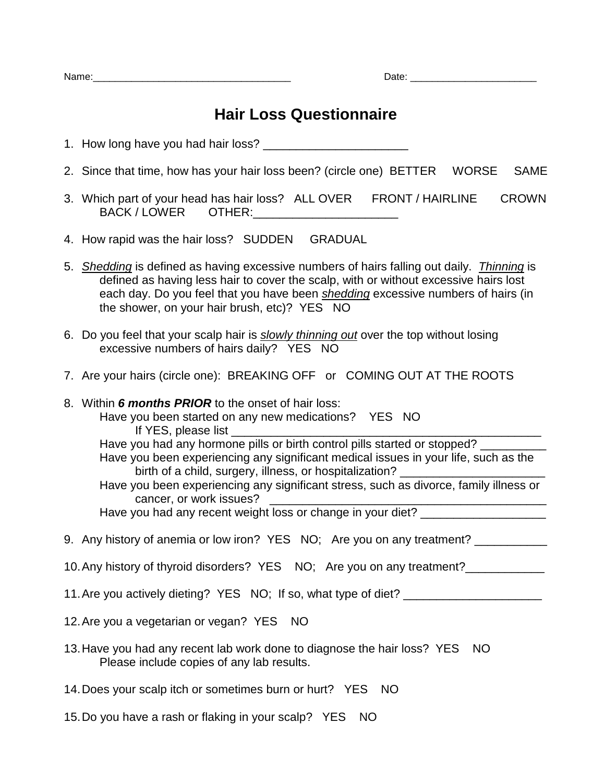## **Hair Loss Questionnaire**

- 1. How long have you had hair loss? \_\_\_\_\_\_\_\_\_\_\_\_\_\_\_\_\_\_\_\_\_\_
- 2. Since that time, how has your hair loss been? (circle one) BETTER WORSE SAME
- 3. Which part of your head has hair loss? ALL OVER FRONT / HAIRLINE CROWN BACK / LOWER OTHER:
- 4. How rapid was the hair loss? SUDDEN GRADUAL
- 5. *Shedding* is defined as having excessive numbers of hairs falling out daily. *Thinning* is defined as having less hair to cover the scalp, with or without excessive hairs lost each day. Do you feel that you have been *shedding* excessive numbers of hairs (in the shower, on your hair brush, etc)? YES NO
- 6. Do you feel that your scalp hair is *slowly thinning out* over the top without losing excessive numbers of hairs daily? YES NO
- 7. Are your hairs (circle one): BREAKING OFF or COMING OUT AT THE ROOTS
- 8. Within *6 months PRIOR* to the onset of hair loss: Have you been started on any new medications? YES NO If YES, please list Have you had any hormone pills or birth control pills started or stopped? Have you been experiencing any significant medical issues in your life, such as the birth of a child, surgery, illness, or hospitalization? Have you been experiencing any significant stress, such as divorce, family illness or cancer, or work issues? \_\_\_\_\_\_\_\_\_\_\_\_\_\_\_\_\_\_\_\_\_\_\_\_\_\_\_\_\_\_\_\_\_\_\_\_\_\_\_\_\_\_

Have you had any recent weight loss or change in your diet? \_\_\_\_\_\_\_\_\_\_\_\_\_\_\_\_\_\_\_\_

- 9. Any history of anemia or low iron? YES NO; Are you on any treatment? \_\_\_\_\_\_\_\_
- 10. Any history of thyroid disorders? YES NO; Are you on any treatment?
- 11. Are you actively dieting? YES NO; If so, what type of diet? \_\_\_\_\_\_\_\_\_\_\_\_\_\_\_\_
- 12.Are you a vegetarian or vegan? YES NO
- 13.Have you had any recent lab work done to diagnose the hair loss? YES NO Please include copies of any lab results.
- 14.Does your scalp itch or sometimes burn or hurt? YES NO
- 15.Do you have a rash or flaking in your scalp? YES NO